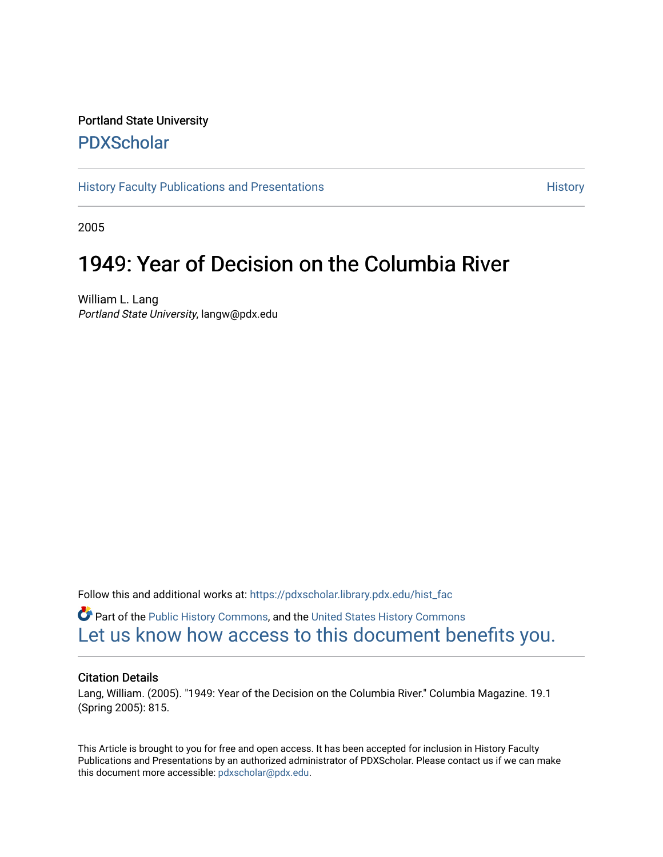# Portland State University [PDXScholar](https://pdxscholar.library.pdx.edu/)

[History Faculty Publications and Presentations](https://pdxscholar.library.pdx.edu/hist_fac) **History** History

2005

# 1949: Year of Decision on the Columbia River

William L. Lang Portland State University, langw@pdx.edu

Follow this and additional works at: [https://pdxscholar.library.pdx.edu/hist\\_fac](https://pdxscholar.library.pdx.edu/hist_fac?utm_source=pdxscholar.library.pdx.edu%2Fhist_fac%2F68&utm_medium=PDF&utm_campaign=PDFCoverPages)

*O* Part of the [Public History Commons,](http://network.bepress.com/hgg/discipline/1292?utm_source=pdxscholar.library.pdx.edu%2Fhist_fac%2F68&utm_medium=PDF&utm_campaign=PDFCoverPages) and the United States History Commons [Let us know how access to this document benefits you.](http://library.pdx.edu/services/pdxscholar-services/pdxscholar-feedback/?ref=https://pdxscholar.library.pdx.edu/hist_fac/68) 

## Citation Details

Lang, William. (2005). "1949: Year of the Decision on the Columbia River." Columbia Magazine. 19.1 (Spring 2005): 815.

This Article is brought to you for free and open access. It has been accepted for inclusion in History Faculty Publications and Presentations by an authorized administrator of PDXScholar. Please contact us if we can make this document more accessible: [pdxscholar@pdx.edu.](mailto:pdxscholar@pdx.edu)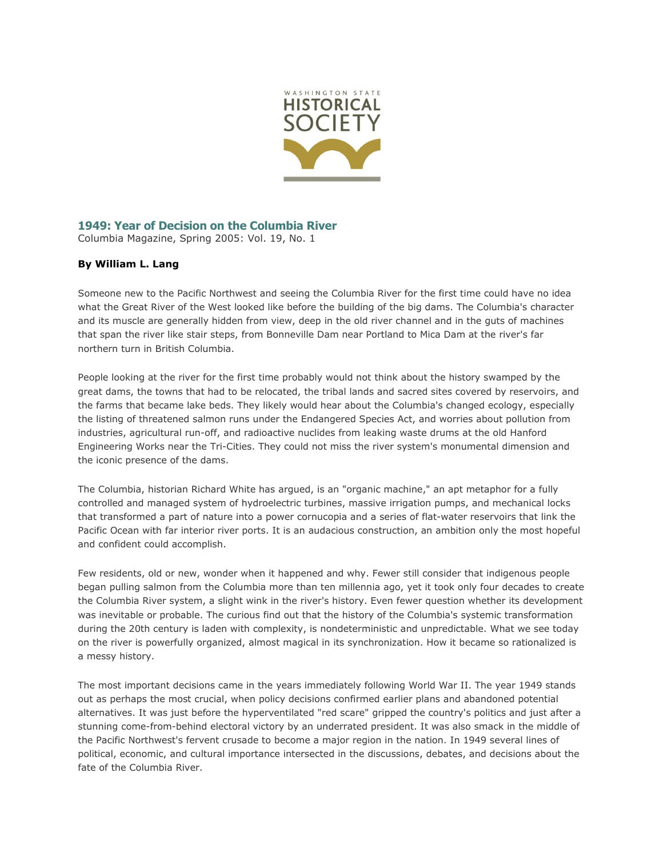

#### **1949: Year of Decision on the Columbia River** Columbia Magazine, Spring 2005: Vol. 19, No. 1

## **By William L. Lang**

Someone new to the Pacific Northwest and seeing the Columbia River for the first time could have no idea what the Great River of the West looked like before the building of the big dams. The Columbia's character and its muscle are generally hidden from view, deep in the old river channel and in the guts of machines that span the river like stair steps, from Bonneville Dam near Portland to Mica Dam at the river's far northern turn in British Columbia.

People looking at the river for the first time probably would not think about the history swamped by the great dams, the towns that had to be relocated, the tribal lands and sacred sites covered by reservoirs, and the farms that became lake beds. They likely would hear about the Columbia's changed ecology, especially the listing of threatened salmon runs under the Endangered Species Act, and worries about pollution from industries, agricultural run-off, and radioactive nuclides from leaking waste drums at the old Hanford Engineering Works near the Tri-Cities. They could not miss the river system's monumental dimension and the iconic presence of the dams.

The Columbia, historian Richard White has argued, is an "organic machine," an apt metaphor for a fully controlled and managed system of hydroelectric turbines, massive irrigation pumps, and mechanical locks that transformed a part of nature into a power cornucopia and a series of flat-water reservoirs that link the Pacific Ocean with far interior river ports. It is an audacious construction, an ambition only the most hopeful and confident could accomplish.

Few residents, old or new, wonder when it happened and why. Fewer still consider that indigenous people began pulling salmon from the Columbia more than ten millennia ago, yet it took only four decades to create the Columbia River system, a slight wink in the river's history. Even fewer question whether its development was inevitable or probable. The curious find out that the history of the Columbia's systemic transformation during the 20th century is laden with complexity, is nondeterministic and unpredictable. What we see today on the river is powerfully organized, almost magical in its synchronization. How it became so rationalized is a messy history.

The most important decisions came in the years immediately following World War II. The year 1949 stands out as perhaps the most crucial, when policy decisions confirmed earlier plans and abandoned potential alternatives. It was just before the hyperventilated "red scare" gripped the country's politics and just after a stunning come-from-behind electoral victory by an underrated president. It was also smack in the middle of the Pacific Northwest's fervent crusade to become a major region in the nation. In 1949 several lines of political, economic, and cultural importance intersected in the discussions, debates, and decisions about the fate of the Columbia River.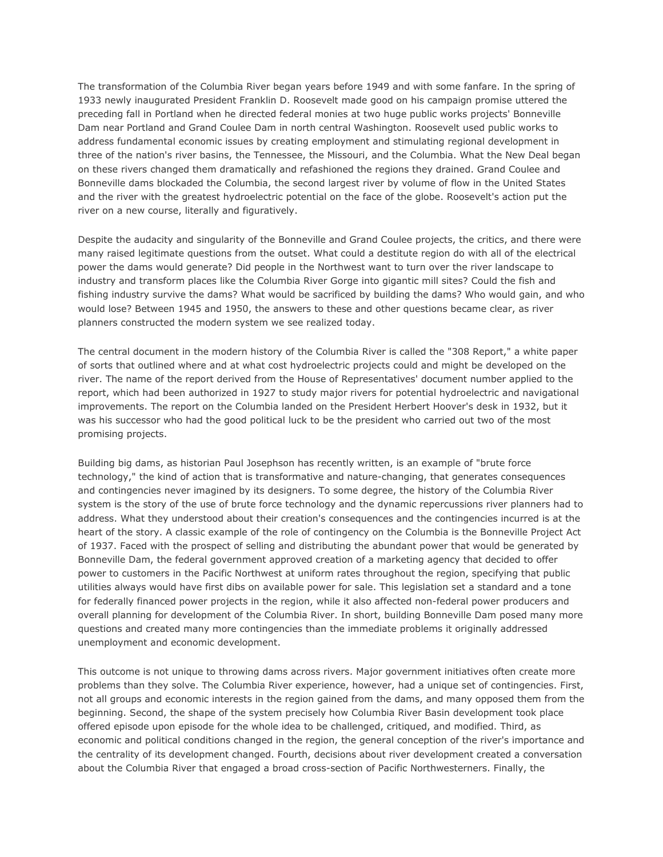The transformation of the Columbia River began years before 1949 and with some fanfare. In the spring of 1933 newly inaugurated President Franklin D. Roosevelt made good on his campaign promise uttered the preceding fall in Portland when he directed federal monies at two huge public works projects' Bonneville Dam near Portland and Grand Coulee Dam in north central Washington. Roosevelt used public works to address fundamental economic issues by creating employment and stimulating regional development in three of the nation's river basins, the Tennessee, the Missouri, and the Columbia. What the New Deal began on these rivers changed them dramatically and refashioned the regions they drained. Grand Coulee and Bonneville dams blockaded the Columbia, the second largest river by volume of flow in the United States and the river with the greatest hydroelectric potential on the face of the globe. Roosevelt's action put the river on a new course, literally and figuratively.

Despite the audacity and singularity of the Bonneville and Grand Coulee projects, the critics, and there were many raised legitimate questions from the outset. What could a destitute region do with all of the electrical power the dams would generate? Did people in the Northwest want to turn over the river landscape to industry and transform places like the Columbia River Gorge into gigantic mill sites? Could the fish and fishing industry survive the dams? What would be sacrificed by building the dams? Who would gain, and who would lose? Between 1945 and 1950, the answers to these and other questions became clear, as river planners constructed the modern system we see realized today.

The central document in the modern history of the Columbia River is called the "308 Report," a white paper of sorts that outlined where and at what cost hydroelectric projects could and might be developed on the river. The name of the report derived from the House of Representatives' document number applied to the report, which had been authorized in 1927 to study major rivers for potential hydroelectric and navigational improvements. The report on the Columbia landed on the President Herbert Hoover's desk in 1932, but it was his successor who had the good political luck to be the president who carried out two of the most promising projects.

Building big dams, as historian Paul Josephson has recently written, is an example of "brute force technology," the kind of action that is transformative and nature-changing, that generates consequences and contingencies never imagined by its designers. To some degree, the history of the Columbia River system is the story of the use of brute force technology and the dynamic repercussions river planners had to address. What they understood about their creation's consequences and the contingencies incurred is at the heart of the story. A classic example of the role of contingency on the Columbia is the Bonneville Project Act of 1937. Faced with the prospect of selling and distributing the abundant power that would be generated by Bonneville Dam, the federal government approved creation of a marketing agency that decided to offer power to customers in the Pacific Northwest at uniform rates throughout the region, specifying that public utilities always would have first dibs on available power for sale. This legislation set a standard and a tone for federally financed power projects in the region, while it also affected non-federal power producers and overall planning for development of the Columbia River. In short, building Bonneville Dam posed many more questions and created many more contingencies than the immediate problems it originally addressed unemployment and economic development.

This outcome is not unique to throwing dams across rivers. Major government initiatives often create more problems than they solve. The Columbia River experience, however, had a unique set of contingencies. First, not all groups and economic interests in the region gained from the dams, and many opposed them from the beginning. Second, the shape of the system precisely how Columbia River Basin development took place offered episode upon episode for the whole idea to be challenged, critiqued, and modified. Third, as economic and political conditions changed in the region, the general conception of the river's importance and the centrality of its development changed. Fourth, decisions about river development created a conversation about the Columbia River that engaged a broad cross-section of Pacific Northwesterners. Finally, the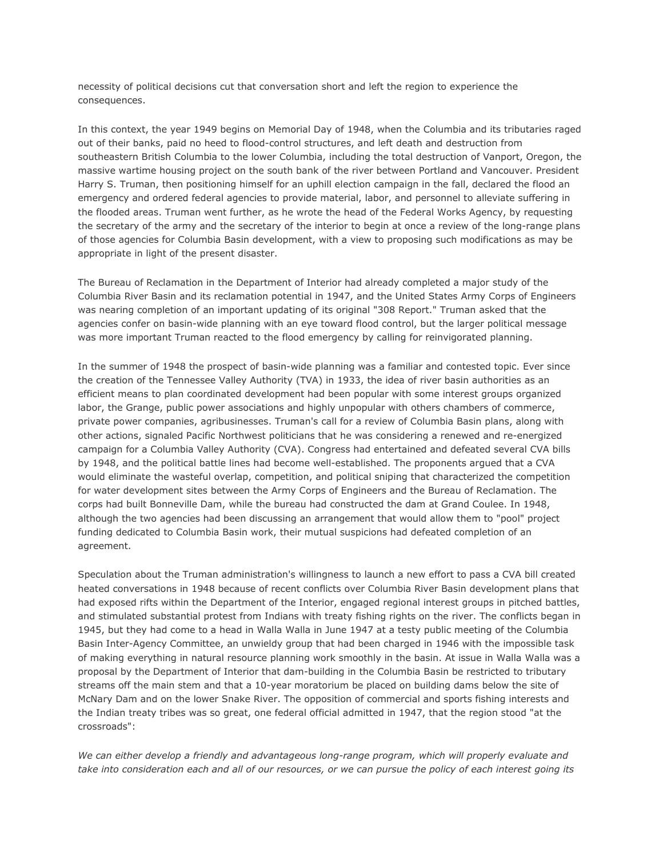necessity of political decisions cut that conversation short and left the region to experience the consequences.

In this context, the year 1949 begins on Memorial Day of 1948, when the Columbia and its tributaries raged out of their banks, paid no heed to flood-control structures, and left death and destruction from southeastern British Columbia to the lower Columbia, including the total destruction of Vanport, Oregon, the massive wartime housing project on the south bank of the river between Portland and Vancouver. President Harry S. Truman, then positioning himself for an uphill election campaign in the fall, declared the flood an emergency and ordered federal agencies to provide material, labor, and personnel to alleviate suffering in the flooded areas. Truman went further, as he wrote the head of the Federal Works Agency, by requesting the secretary of the army and the secretary of the interior to begin at once a review of the long-range plans of those agencies for Columbia Basin development, with a view to proposing such modifications as may be appropriate in light of the present disaster.

The Bureau of Reclamation in the Department of Interior had already completed a major study of the Columbia River Basin and its reclamation potential in 1947, and the United States Army Corps of Engineers was nearing completion of an important updating of its original "308 Report." Truman asked that the agencies confer on basin-wide planning with an eye toward flood control, but the larger political message was more important Truman reacted to the flood emergency by calling for reinvigorated planning.

In the summer of 1948 the prospect of basin-wide planning was a familiar and contested topic. Ever since the creation of the Tennessee Valley Authority (TVA) in 1933, the idea of river basin authorities as an efficient means to plan coordinated development had been popular with some interest groups organized labor, the Grange, public power associations and highly unpopular with others chambers of commerce, private power companies, agribusinesses. Truman's call for a review of Columbia Basin plans, along with other actions, signaled Pacific Northwest politicians that he was considering a renewed and re-energized campaign for a Columbia Valley Authority (CVA). Congress had entertained and defeated several CVA bills by 1948, and the political battle lines had become well-established. The proponents argued that a CVA would eliminate the wasteful overlap, competition, and political sniping that characterized the competition for water development sites between the Army Corps of Engineers and the Bureau of Reclamation. The corps had built Bonneville Dam, while the bureau had constructed the dam at Grand Coulee. In 1948, although the two agencies had been discussing an arrangement that would allow them to "pool" project funding dedicated to Columbia Basin work, their mutual suspicions had defeated completion of an agreement.

Speculation about the Truman administration's willingness to launch a new effort to pass a CVA bill created heated conversations in 1948 because of recent conflicts over Columbia River Basin development plans that had exposed rifts within the Department of the Interior, engaged regional interest groups in pitched battles, and stimulated substantial protest from Indians with treaty fishing rights on the river. The conflicts began in 1945, but they had come to a head in Walla Walla in June 1947 at a testy public meeting of the Columbia Basin Inter-Agency Committee, an unwieldy group that had been charged in 1946 with the impossible task of making everything in natural resource planning work smoothly in the basin. At issue in Walla Walla was a proposal by the Department of Interior that dam-building in the Columbia Basin be restricted to tributary streams off the main stem and that a 10-year moratorium be placed on building dams below the site of McNary Dam and on the lower Snake River. The opposition of commercial and sports fishing interests and the Indian treaty tribes was so great, one federal official admitted in 1947, that the region stood "at the crossroads":

*We can either develop a friendly and advantageous long-range program, which will properly evaluate and take into consideration each and all of our resources, or we can pursue the policy of each interest going its*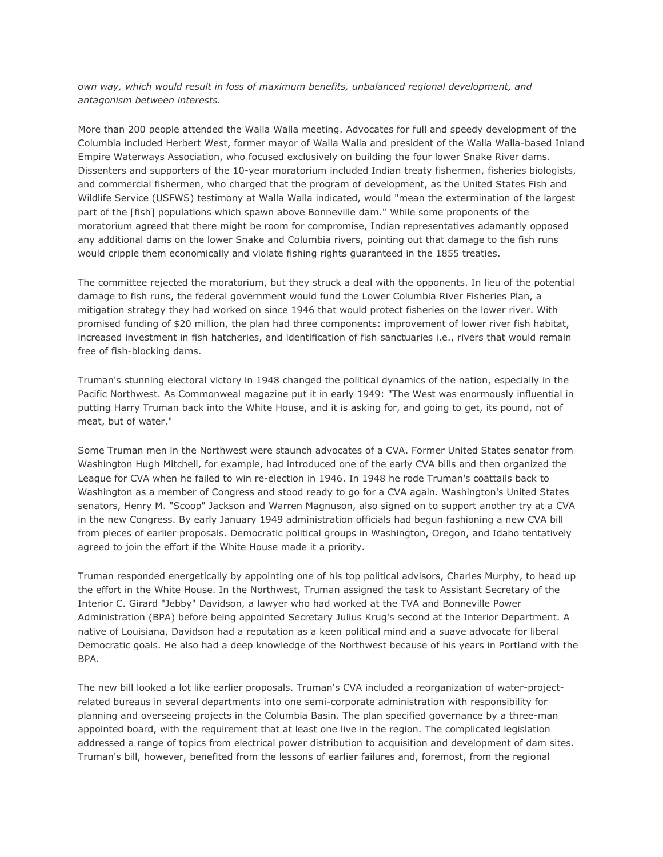*own way, which would result in loss of maximum benefits, unbalanced regional development, and antagonism between interests.*

More than 200 people attended the Walla Walla meeting. Advocates for full and speedy development of the Columbia included Herbert West, former mayor of Walla Walla and president of the Walla Walla-based Inland Empire Waterways Association, who focused exclusively on building the four lower Snake River dams. Dissenters and supporters of the 10-year moratorium included Indian treaty fishermen, fisheries biologists, and commercial fishermen, who charged that the program of development, as the United States Fish and Wildlife Service (USFWS) testimony at Walla Walla indicated, would "mean the extermination of the largest part of the [fish] populations which spawn above Bonneville dam." While some proponents of the moratorium agreed that there might be room for compromise, Indian representatives adamantly opposed any additional dams on the lower Snake and Columbia rivers, pointing out that damage to the fish runs would cripple them economically and violate fishing rights guaranteed in the 1855 treaties.

The committee rejected the moratorium, but they struck a deal with the opponents. In lieu of the potential damage to fish runs, the federal government would fund the Lower Columbia River Fisheries Plan, a mitigation strategy they had worked on since 1946 that would protect fisheries on the lower river. With promised funding of \$20 million, the plan had three components: improvement of lower river fish habitat, increased investment in fish hatcheries, and identification of fish sanctuaries i.e., rivers that would remain free of fish-blocking dams.

Truman's stunning electoral victory in 1948 changed the political dynamics of the nation, especially in the Pacific Northwest. As Commonweal magazine put it in early 1949: "The West was enormously influential in putting Harry Truman back into the White House, and it is asking for, and going to get, its pound, not of meat, but of water."

Some Truman men in the Northwest were staunch advocates of a CVA. Former United States senator from Washington Hugh Mitchell, for example, had introduced one of the early CVA bills and then organized the League for CVA when he failed to win re-election in 1946. In 1948 he rode Truman's coattails back to Washington as a member of Congress and stood ready to go for a CVA again. Washington's United States senators, Henry M. "Scoop" Jackson and Warren Magnuson, also signed on to support another try at a CVA in the new Congress. By early January 1949 administration officials had begun fashioning a new CVA bill from pieces of earlier proposals. Democratic political groups in Washington, Oregon, and Idaho tentatively agreed to join the effort if the White House made it a priority.

Truman responded energetically by appointing one of his top political advisors, Charles Murphy, to head up the effort in the White House. In the Northwest, Truman assigned the task to Assistant Secretary of the Interior C. Girard "Jebby" Davidson, a lawyer who had worked at the TVA and Bonneville Power Administration (BPA) before being appointed Secretary Julius Krug's second at the Interior Department. A native of Louisiana, Davidson had a reputation as a keen political mind and a suave advocate for liberal Democratic goals. He also had a deep knowledge of the Northwest because of his years in Portland with the BPA.

The new bill looked a lot like earlier proposals. Truman's CVA included a reorganization of water-projectrelated bureaus in several departments into one semi-corporate administration with responsibility for planning and overseeing projects in the Columbia Basin. The plan specified governance by a three-man appointed board, with the requirement that at least one live in the region. The complicated legislation addressed a range of topics from electrical power distribution to acquisition and development of dam sites. Truman's bill, however, benefited from the lessons of earlier failures and, foremost, from the regional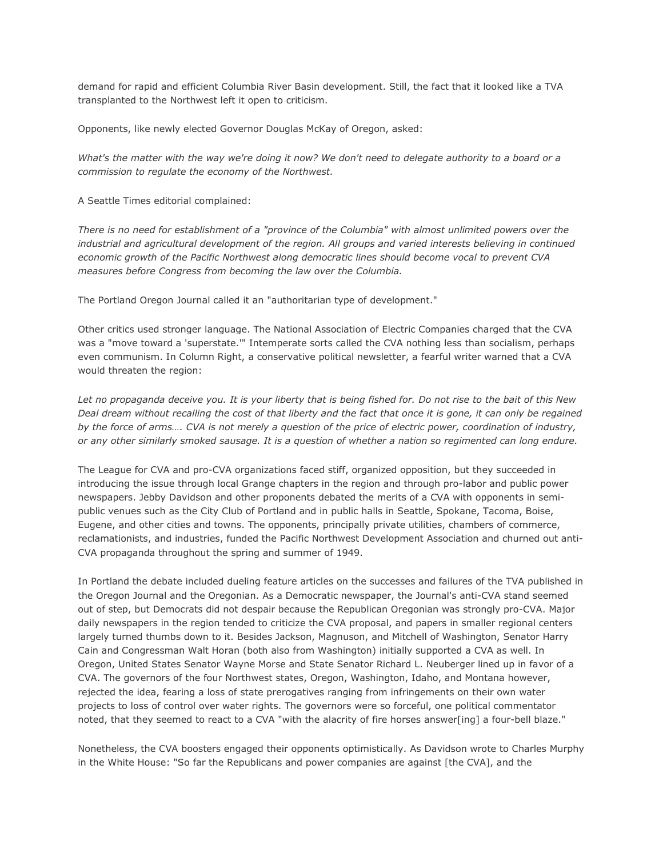demand for rapid and efficient Columbia River Basin development. Still, the fact that it looked like a TVA transplanted to the Northwest left it open to criticism.

Opponents, like newly elected Governor Douglas McKay of Oregon, asked:

*What's the matter with the way we're doing it now? We don't need to delegate authority to a board or a commission to regulate the economy of the Northwest.*

A Seattle Times editorial complained:

*There is no need for establishment of a "province of the Columbia" with almost unlimited powers over the industrial and agricultural development of the region. All groups and varied interests believing in continued economic growth of the Pacific Northwest along democratic lines should become vocal to prevent CVA measures before Congress from becoming the law over the Columbia.*

The Portland Oregon Journal called it an "authoritarian type of development."

Other critics used stronger language. The National Association of Electric Companies charged that the CVA was a "move toward a 'superstate.'" Intemperate sorts called the CVA nothing less than socialism, perhaps even communism. In Column Right, a conservative political newsletter, a fearful writer warned that a CVA would threaten the region:

*Let no propaganda deceive you. It is your liberty that is being fished for. Do not rise to the bait of this New Deal dream without recalling the cost of that liberty and the fact that once it is gone, it can only be regained by the force of arms…. CVA is not merely a question of the price of electric power, coordination of industry, or any other similarly smoked sausage. It is a question of whether a nation so regimented can long endure.*

The League for CVA and pro-CVA organizations faced stiff, organized opposition, but they succeeded in introducing the issue through local Grange chapters in the region and through pro-labor and public power newspapers. Jebby Davidson and other proponents debated the merits of a CVA with opponents in semipublic venues such as the City Club of Portland and in public halls in Seattle, Spokane, Tacoma, Boise, Eugene, and other cities and towns. The opponents, principally private utilities, chambers of commerce, reclamationists, and industries, funded the Pacific Northwest Development Association and churned out anti-CVA propaganda throughout the spring and summer of 1949.

In Portland the debate included dueling feature articles on the successes and failures of the TVA published in the Oregon Journal and the Oregonian. As a Democratic newspaper, the Journal's anti-CVA stand seemed out of step, but Democrats did not despair because the Republican Oregonian was strongly pro-CVA. Major daily newspapers in the region tended to criticize the CVA proposal, and papers in smaller regional centers largely turned thumbs down to it. Besides Jackson, Magnuson, and Mitchell of Washington, Senator Harry Cain and Congressman Walt Horan (both also from Washington) initially supported a CVA as well. In Oregon, United States Senator Wayne Morse and State Senator Richard L. Neuberger lined up in favor of a CVA. The governors of the four Northwest states, Oregon, Washington, Idaho, and Montana however, rejected the idea, fearing a loss of state prerogatives ranging from infringements on their own water projects to loss of control over water rights. The governors were so forceful, one political commentator noted, that they seemed to react to a CVA "with the alacrity of fire horses answer[ing] a four-bell blaze."

Nonetheless, the CVA boosters engaged their opponents optimistically. As Davidson wrote to Charles Murphy in the White House: "So far the Republicans and power companies are against [the CVA], and the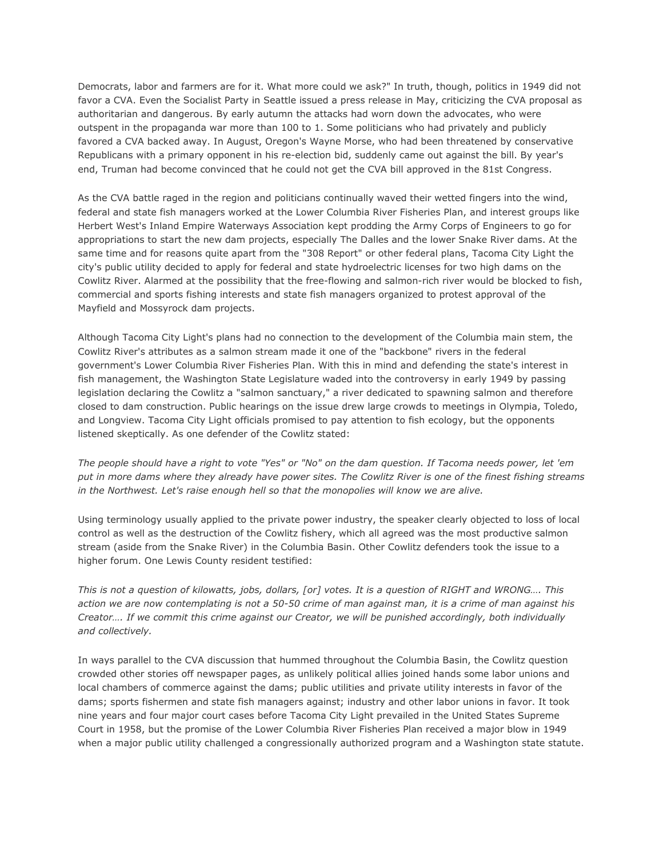Democrats, labor and farmers are for it. What more could we ask?" In truth, though, politics in 1949 did not favor a CVA. Even the Socialist Party in Seattle issued a press release in May, criticizing the CVA proposal as authoritarian and dangerous. By early autumn the attacks had worn down the advocates, who were outspent in the propaganda war more than 100 to 1. Some politicians who had privately and publicly favored a CVA backed away. In August, Oregon's Wayne Morse, who had been threatened by conservative Republicans with a primary opponent in his re-election bid, suddenly came out against the bill. By year's end, Truman had become convinced that he could not get the CVA bill approved in the 81st Congress.

As the CVA battle raged in the region and politicians continually waved their wetted fingers into the wind, federal and state fish managers worked at the Lower Columbia River Fisheries Plan, and interest groups like Herbert West's Inland Empire Waterways Association kept prodding the Army Corps of Engineers to go for appropriations to start the new dam projects, especially The Dalles and the lower Snake River dams. At the same time and for reasons quite apart from the "308 Report" or other federal plans, Tacoma City Light the city's public utility decided to apply for federal and state hydroelectric licenses for two high dams on the Cowlitz River. Alarmed at the possibility that the free-flowing and salmon-rich river would be blocked to fish, commercial and sports fishing interests and state fish managers organized to protest approval of the Mayfield and Mossyrock dam projects.

Although Tacoma City Light's plans had no connection to the development of the Columbia main stem, the Cowlitz River's attributes as a salmon stream made it one of the "backbone" rivers in the federal government's Lower Columbia River Fisheries Plan. With this in mind and defending the state's interest in fish management, the Washington State Legislature waded into the controversy in early 1949 by passing legislation declaring the Cowlitz a "salmon sanctuary," a river dedicated to spawning salmon and therefore closed to dam construction. Public hearings on the issue drew large crowds to meetings in Olympia, Toledo, and Longview. Tacoma City Light officials promised to pay attention to fish ecology, but the opponents listened skeptically. As one defender of the Cowlitz stated:

*The people should have a right to vote "Yes" or "No" on the dam question. If Tacoma needs power, let 'em put in more dams where they already have power sites. The Cowlitz River is one of the finest fishing streams in the Northwest. Let's raise enough hell so that the monopolies will know we are alive.*

Using terminology usually applied to the private power industry, the speaker clearly objected to loss of local control as well as the destruction of the Cowlitz fishery, which all agreed was the most productive salmon stream (aside from the Snake River) in the Columbia Basin. Other Cowlitz defenders took the issue to a higher forum. One Lewis County resident testified:

*This is not a question of kilowatts, jobs, dollars, [or] votes. It is a question of RIGHT and WRONG…. This action we are now contemplating is not a 50-50 crime of man against man, it is a crime of man against his Creator…. If we commit this crime against our Creator, we will be punished accordingly, both individually and collectively.*

In ways parallel to the CVA discussion that hummed throughout the Columbia Basin, the Cowlitz question crowded other stories off newspaper pages, as unlikely political allies joined hands some labor unions and local chambers of commerce against the dams; public utilities and private utility interests in favor of the dams; sports fishermen and state fish managers against; industry and other labor unions in favor. It took nine years and four major court cases before Tacoma City Light prevailed in the United States Supreme Court in 1958, but the promise of the Lower Columbia River Fisheries Plan received a major blow in 1949 when a major public utility challenged a congressionally authorized program and a Washington state statute.